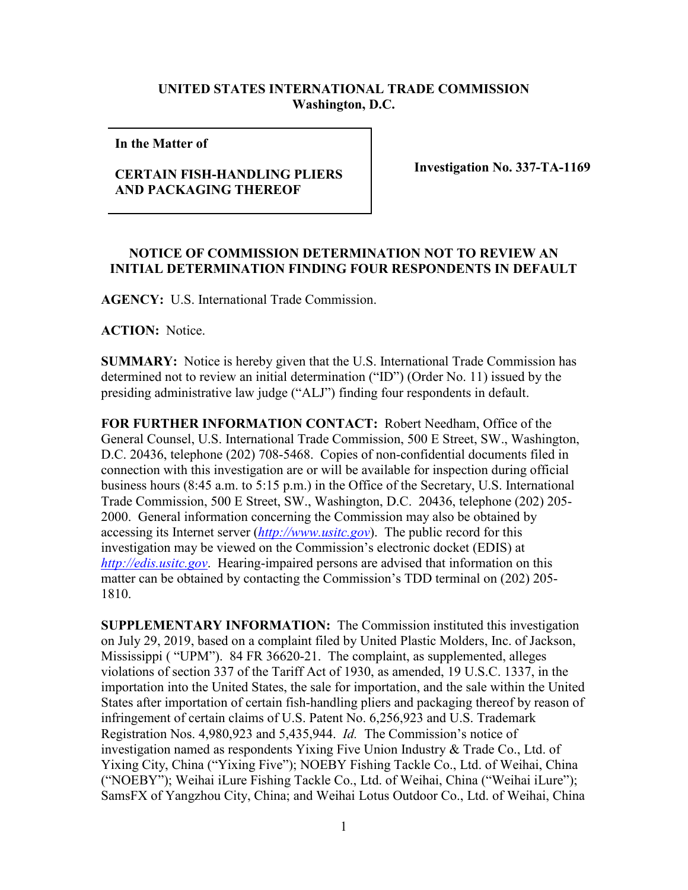## **UNITED STATES INTERNATIONAL TRADE COMMISSION Washington, D.C.**

**In the Matter of** 

## **CERTAIN FISH-HANDLING PLIERS AND PACKAGING THEREOF**

**Investigation No. 337-TA-1169**

## **NOTICE OF COMMISSION DETERMINATION NOT TO REVIEW AN INITIAL DETERMINATION FINDING FOUR RESPONDENTS IN DEFAULT**

**AGENCY:** U.S. International Trade Commission.

**ACTION:** Notice.

**SUMMARY:** Notice is hereby given that the U.S. International Trade Commission has determined not to review an initial determination ("ID") (Order No. 11) issued by the presiding administrative law judge ("ALJ") finding four respondents in default.

**FOR FURTHER INFORMATION CONTACT:** Robert Needham, Office of the General Counsel, U.S. International Trade Commission, 500 E Street, SW., Washington, D.C. 20436, telephone (202) 708-5468. Copies of non-confidential documents filed in connection with this investigation are or will be available for inspection during official business hours (8:45 a.m. to 5:15 p.m.) in the Office of the Secretary, U.S. International Trade Commission, 500 E Street, SW., Washington, D.C. 20436, telephone (202) 205- 2000. General information concerning the Commission may also be obtained by accessing its Internet server (*[http://www.usitc.gov](http://www.usitc.gov/)*). The public record for this investigation may be viewed on the Commission's electronic docket (EDIS) at *[http://edis.usitc.gov](http://edis.usitc.gov/)*. Hearing-impaired persons are advised that information on this matter can be obtained by contacting the Commission's TDD terminal on (202) 205- 1810.

**SUPPLEMENTARY INFORMATION:** The Commission instituted this investigation on July 29, 2019, based on a complaint filed by United Plastic Molders, Inc. of Jackson, Mississippi ( "UPM"). 84 FR 36620-21. The complaint, as supplemented, alleges violations of section 337 of the Tariff Act of 1930, as amended, 19 U.S.C. 1337, in the importation into the United States, the sale for importation, and the sale within the United States after importation of certain fish-handling pliers and packaging thereof by reason of infringement of certain claims of U.S. Patent No. 6,256,923 and U.S. Trademark Registration Nos. 4,980,923 and 5,435,944. *Id.* The Commission's notice of investigation named as respondents Yixing Five Union Industry & Trade Co., Ltd. of Yixing City, China ("Yixing Five"); NOEBY Fishing Tackle Co., Ltd. of Weihai, China ("NOEBY"); Weihai iLure Fishing Tackle Co., Ltd. of Weihai, China ("Weihai iLure"); SamsFX of Yangzhou City, China; and Weihai Lotus Outdoor Co., Ltd. of Weihai, China